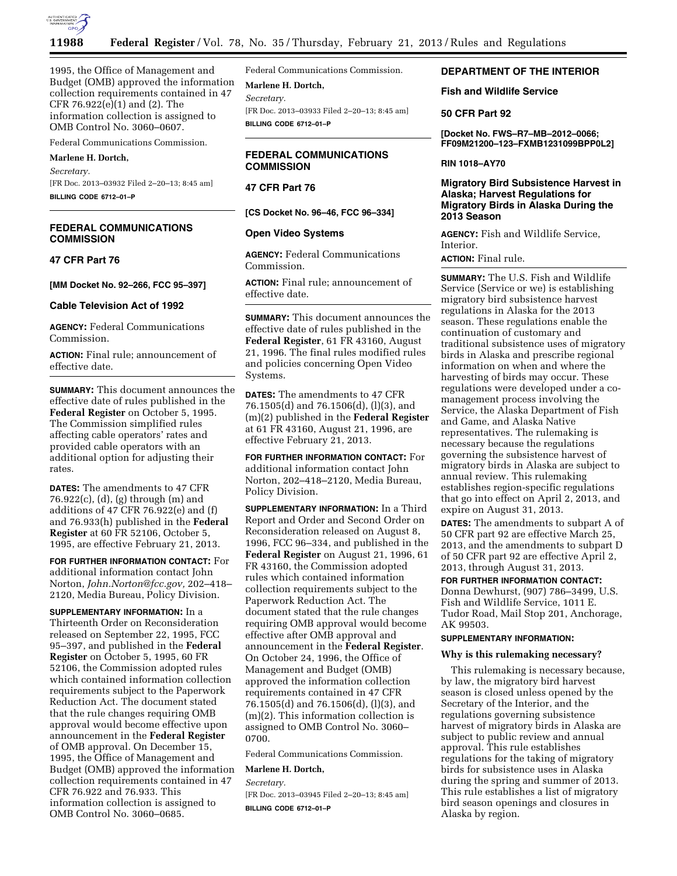

1995, the Office of Management and Budget (OMB) approved the information collection requirements contained in 47 CFR 76.922(e)(1) and (2). The information collection is assigned to OMB Control No. 3060–0607.

# Federal Communications Commission.

# **Marlene H. Dortch,**

*Secretary.* 

[FR Doc. 2013–03932 Filed 2–20–13; 8:45 am] **BILLING CODE 6712–01–P** 

# **FEDERAL COMMUNICATIONS COMMISSION**

## **47 CFR Part 76**

**[MM Docket No. 92–266, FCC 95–397]** 

### **Cable Television Act of 1992**

**AGENCY:** Federal Communications Commission.

**ACTION:** Final rule; announcement of effective date.

**SUMMARY:** This document announces the effective date of rules published in the **Federal Register** on October 5, 1995. The Commission simplified rules affecting cable operators' rates and provided cable operators with an additional option for adjusting their rates.

**DATES:** The amendments to 47 CFR 76.922(c), (d), (g) through (m) and additions of 47 CFR 76.922(e) and (f) and 76.933(h) published in the **Federal Register** at 60 FR 52106, October 5, 1995, are effective February 21, 2013.

**FOR FURTHER INFORMATION CONTACT:** For additional information contact John Norton, *[John.Norton@fcc.gov,](mailto:John.Norton@fcc.gov)* 202–418– 2120, Media Bureau, Policy Division.

**SUPPLEMENTARY INFORMATION:** In a Thirteenth Order on Reconsideration released on September 22, 1995, FCC 95–397, and published in the **Federal Register** on October 5, 1995, 60 FR 52106, the Commission adopted rules which contained information collection requirements subject to the Paperwork Reduction Act. The document stated that the rule changes requiring OMB approval would become effective upon announcement in the **Federal Register**  of OMB approval. On December 15, 1995, the Office of Management and Budget (OMB) approved the information collection requirements contained in 47 CFR 76.922 and 76.933. This information collection is assigned to OMB Control No. 3060–0685.

Federal Communications Commission.

**Marlene H. Dortch,**  *Secretary.*  [FR Doc. 2013–03933 Filed 2–20–13; 8:45 am] **BILLING CODE 6712–01–P** 

# **FEDERAL COMMUNICATIONS COMMISSION**

# **47 CFR Part 76**

**[CS Docket No. 96–46, FCC 96–334]** 

### **Open Video Systems**

**AGENCY:** Federal Communications Commission.

**ACTION:** Final rule; announcement of effective date.

**SUMMARY:** This document announces the effective date of rules published in the **Federal Register**, 61 FR 43160, August 21, 1996. The final rules modified rules and policies concerning Open Video Systems.

**DATES:** The amendments to 47 CFR 76.1505(d) and 76.1506(d), (l)(3), and (m)(2) published in the **Federal Register**  at 61 FR 43160, August 21, 1996, are effective February 21, 2013.

**FOR FURTHER INFORMATION CONTACT:** For additional information contact John Norton, 202–418–2120, Media Bureau, Policy Division.

**SUPPLEMENTARY INFORMATION:** In a Third Report and Order and Second Order on Reconsideration released on August 8, 1996, FCC 96–334, and published in the **Federal Register** on August 21, 1996, 61 FR 43160, the Commission adopted rules which contained information collection requirements subject to the Paperwork Reduction Act. The document stated that the rule changes requiring OMB approval would become effective after OMB approval and announcement in the **Federal Register**. On October 24, 1996, the Office of Management and Budget (OMB) approved the information collection requirements contained in 47 CFR 76.1505(d) and 76.1506(d), (l)(3), and (m)(2). This information collection is assigned to OMB Control No. 3060– 0700.

Federal Communications Commission.

#### **Marlene H. Dortch,**

*Secretary.* 

[FR Doc. 2013–03945 Filed 2–20–13; 8:45 am] **BILLING CODE 6712–01–P** 

# **DEPARTMENT OF THE INTERIOR**

# **Fish and Wildlife Service**

### **50 CFR Part 92**

**[Docket No. FWS–R7–MB–2012–0066; FF09M21200–123–FXMB1231099BPP0L2]** 

### **RIN 1018–AY70**

# **Migratory Bird Subsistence Harvest in Alaska; Harvest Regulations for Migratory Birds in Alaska During the 2013 Season**

**AGENCY:** Fish and Wildlife Service, Interior.

**ACTION:** Final rule.

**SUMMARY:** The U.S. Fish and Wildlife Service (Service or we) is establishing migratory bird subsistence harvest regulations in Alaska for the 2013 season. These regulations enable the continuation of customary and traditional subsistence uses of migratory birds in Alaska and prescribe regional information on when and where the harvesting of birds may occur. These regulations were developed under a comanagement process involving the Service, the Alaska Department of Fish and Game, and Alaska Native representatives. The rulemaking is necessary because the regulations governing the subsistence harvest of migratory birds in Alaska are subject to annual review. This rulemaking establishes region-specific regulations that go into effect on April 2, 2013, and expire on August 31, 2013.

**DATES:** The amendments to subpart A of 50 CFR part 92 are effective March 25, 2013, and the amendments to subpart D of 50 CFR part 92 are effective April 2, 2013, through August 31, 2013.

### **FOR FURTHER INFORMATION CONTACT:**

Donna Dewhurst, (907) 786–3499, U.S. Fish and Wildlife Service, 1011 E. Tudor Road, Mail Stop 201, Anchorage, AK 99503.

# **SUPPLEMENTARY INFORMATION:**

### **Why is this rulemaking necessary?**

This rulemaking is necessary because, by law, the migratory bird harvest season is closed unless opened by the Secretary of the Interior, and the regulations governing subsistence harvest of migratory birds in Alaska are subject to public review and annual approval. This rule establishes regulations for the taking of migratory birds for subsistence uses in Alaska during the spring and summer of 2013. This rule establishes a list of migratory bird season openings and closures in Alaska by region.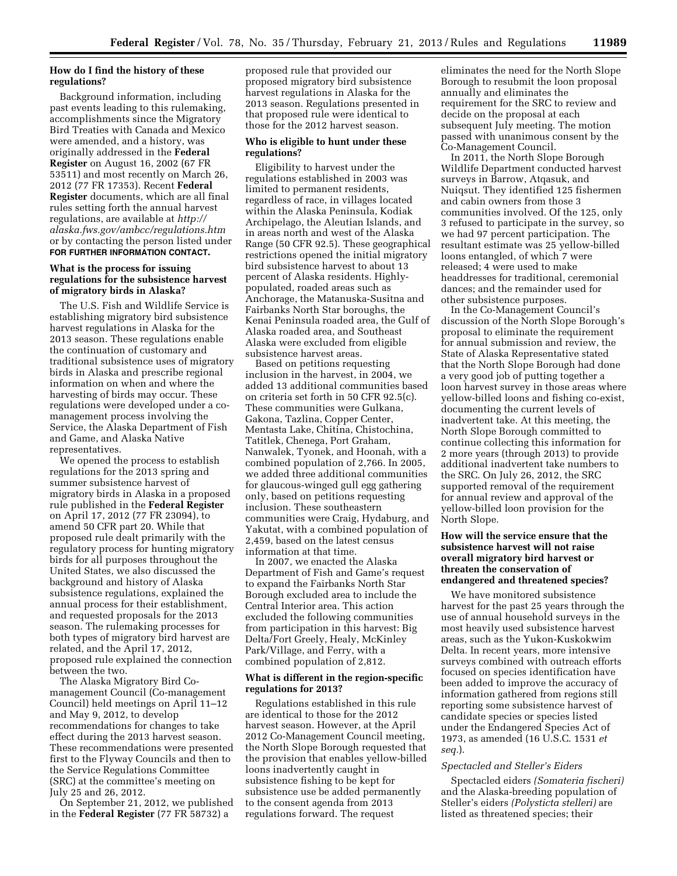# **How do I find the history of these regulations?**

Background information, including past events leading to this rulemaking, accomplishments since the Migratory Bird Treaties with Canada and Mexico were amended, and a history, was originally addressed in the **Federal Register** on August 16, 2002 (67 FR 53511) and most recently on March 26, 2012 (77 FR 17353). Recent **Federal Register** documents, which are all final rules setting forth the annual harvest regulations, are available at *[http://](http://alaska.fws.gov/ambcc/regulations.htm)  [alaska.fws.gov/ambcc/regulations.htm](http://alaska.fws.gov/ambcc/regulations.htm)*  or by contacting the person listed under **FOR FURTHER INFORMATION CONTACT.** 

## **What is the process for issuing regulations for the subsistence harvest of migratory birds in Alaska?**

The U.S. Fish and Wildlife Service is establishing migratory bird subsistence harvest regulations in Alaska for the 2013 season. These regulations enable the continuation of customary and traditional subsistence uses of migratory birds in Alaska and prescribe regional information on when and where the harvesting of birds may occur. These regulations were developed under a comanagement process involving the Service, the Alaska Department of Fish and Game, and Alaska Native representatives.

We opened the process to establish regulations for the 2013 spring and summer subsistence harvest of migratory birds in Alaska in a proposed rule published in the **Federal Register**  on April 17, 2012 (77 FR 23094), to amend 50 CFR part 20. While that proposed rule dealt primarily with the regulatory process for hunting migratory birds for all purposes throughout the United States, we also discussed the background and history of Alaska subsistence regulations, explained the annual process for their establishment, and requested proposals for the 2013 season. The rulemaking processes for both types of migratory bird harvest are related, and the April 17, 2012, proposed rule explained the connection between the two.

The Alaska Migratory Bird Comanagement Council (Co-management Council) held meetings on April 11–12 and May 9, 2012, to develop recommendations for changes to take effect during the 2013 harvest season. These recommendations were presented first to the Flyway Councils and then to the Service Regulations Committee (SRC) at the committee's meeting on July 25 and 26, 2012.

On September 21, 2012, we published in the **Federal Register** (77 FR 58732) a

proposed rule that provided our proposed migratory bird subsistence harvest regulations in Alaska for the 2013 season. Regulations presented in that proposed rule were identical to those for the 2012 harvest season.

## **Who is eligible to hunt under these regulations?**

Eligibility to harvest under the regulations established in 2003 was limited to permanent residents, regardless of race, in villages located within the Alaska Peninsula, Kodiak Archipelago, the Aleutian Islands, and in areas north and west of the Alaska Range (50 CFR 92.5). These geographical restrictions opened the initial migratory bird subsistence harvest to about 13 percent of Alaska residents. Highlypopulated, roaded areas such as Anchorage, the Matanuska-Susitna and Fairbanks North Star boroughs, the Kenai Peninsula roaded area, the Gulf of Alaska roaded area, and Southeast Alaska were excluded from eligible subsistence harvest areas.

Based on petitions requesting inclusion in the harvest, in 2004, we added 13 additional communities based on criteria set forth in 50 CFR 92.5(c). These communities were Gulkana, Gakona, Tazlina, Copper Center, Mentasta Lake, Chitina, Chistochina, Tatitlek, Chenega, Port Graham, Nanwalek, Tyonek, and Hoonah, with a combined population of 2,766. In 2005, we added three additional communities for glaucous-winged gull egg gathering only, based on petitions requesting inclusion. These southeastern communities were Craig, Hydaburg, and Yakutat, with a combined population of 2,459, based on the latest census information at that time.

In 2007, we enacted the Alaska Department of Fish and Game's request to expand the Fairbanks North Star Borough excluded area to include the Central Interior area. This action excluded the following communities from participation in this harvest: Big Delta/Fort Greely, Healy, McKinley Park/Village, and Ferry, with a combined population of 2,812.

## **What is different in the region-specific regulations for 2013?**

Regulations established in this rule are identical to those for the 2012 harvest season. However, at the April 2012 Co-Management Council meeting, the North Slope Borough requested that the provision that enables yellow-billed loons inadvertently caught in subsistence fishing to be kept for subsistence use be added permanently to the consent agenda from 2013 regulations forward. The request

eliminates the need for the North Slope Borough to resubmit the loon proposal annually and eliminates the requirement for the SRC to review and decide on the proposal at each subsequent July meeting. The motion passed with unanimous consent by the Co-Management Council.

In 2011, the North Slope Borough Wildlife Department conducted harvest surveys in Barrow, Atqasuk, and Nuiqsut. They identified 125 fishermen and cabin owners from those 3 communities involved. Of the 125, only 3 refused to participate in the survey, so we had 97 percent participation. The resultant estimate was 25 yellow-billed loons entangled, of which 7 were released; 4 were used to make headdresses for traditional, ceremonial dances; and the remainder used for other subsistence purposes.

In the Co-Management Council's discussion of the North Slope Borough's proposal to eliminate the requirement for annual submission and review, the State of Alaska Representative stated that the North Slope Borough had done a very good job of putting together a loon harvest survey in those areas where yellow-billed loons and fishing co-exist, documenting the current levels of inadvertent take. At this meeting, the North Slope Borough committed to continue collecting this information for 2 more years (through 2013) to provide additional inadvertent take numbers to the SRC. On July 26, 2012, the SRC supported removal of the requirement for annual review and approval of the yellow-billed loon provision for the North Slope.

## **How will the service ensure that the subsistence harvest will not raise overall migratory bird harvest or threaten the conservation of endangered and threatened species?**

We have monitored subsistence harvest for the past 25 years through the use of annual household surveys in the most heavily used subsistence harvest areas, such as the Yukon-Kuskokwim Delta. In recent years, more intensive surveys combined with outreach efforts focused on species identification have been added to improve the accuracy of information gathered from regions still reporting some subsistence harvest of candidate species or species listed under the Endangered Species Act of 1973, as amended (16 U.S.C. 1531 *et seq.*).

### *Spectacled and Steller's Eiders*

Spectacled eiders *(Somateria fischeri)*  and the Alaska-breeding population of Steller's eiders *(Polysticta stelleri)* are listed as threatened species; their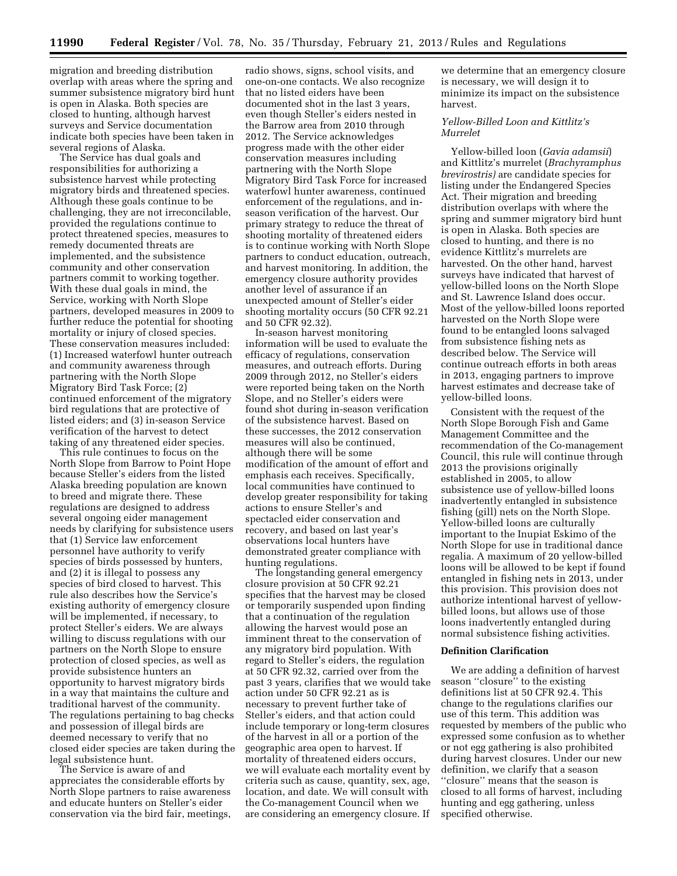migration and breeding distribution overlap with areas where the spring and summer subsistence migratory bird hunt is open in Alaska. Both species are closed to hunting, although harvest surveys and Service documentation indicate both species have been taken in several regions of Alaska.

The Service has dual goals and responsibilities for authorizing a subsistence harvest while protecting migratory birds and threatened species. Although these goals continue to be challenging, they are not irreconcilable, provided the regulations continue to protect threatened species, measures to remedy documented threats are implemented, and the subsistence community and other conservation partners commit to working together. With these dual goals in mind, the Service, working with North Slope partners, developed measures in 2009 to further reduce the potential for shooting mortality or injury of closed species. These conservation measures included: (1) Increased waterfowl hunter outreach and community awareness through partnering with the North Slope Migratory Bird Task Force; (2) continued enforcement of the migratory bird regulations that are protective of listed eiders; and (3) in-season Service verification of the harvest to detect taking of any threatened eider species.

This rule continues to focus on the North Slope from Barrow to Point Hope because Steller's eiders from the listed Alaska breeding population are known to breed and migrate there. These regulations are designed to address several ongoing eider management needs by clarifying for subsistence users that (1) Service law enforcement personnel have authority to verify species of birds possessed by hunters, and (2) it is illegal to possess any species of bird closed to harvest. This rule also describes how the Service's existing authority of emergency closure will be implemented, if necessary, to protect Steller's eiders. We are always willing to discuss regulations with our partners on the North Slope to ensure protection of closed species, as well as provide subsistence hunters an opportunity to harvest migratory birds in a way that maintains the culture and traditional harvest of the community. The regulations pertaining to bag checks and possession of illegal birds are deemed necessary to verify that no closed eider species are taken during the legal subsistence hunt.

The Service is aware of and appreciates the considerable efforts by North Slope partners to raise awareness and educate hunters on Steller's eider conservation via the bird fair, meetings,

radio shows, signs, school visits, and one-on-one contacts. We also recognize that no listed eiders have been documented shot in the last 3 years, even though Steller's eiders nested in the Barrow area from 2010 through 2012. The Service acknowledges progress made with the other eider conservation measures including partnering with the North Slope Migratory Bird Task Force for increased waterfowl hunter awareness, continued enforcement of the regulations, and inseason verification of the harvest. Our primary strategy to reduce the threat of shooting mortality of threatened eiders is to continue working with North Slope partners to conduct education, outreach, and harvest monitoring. In addition, the emergency closure authority provides another level of assurance if an unexpected amount of Steller's eider shooting mortality occurs (50 CFR 92.21 and 50 CFR 92.32).

In-season harvest monitoring information will be used to evaluate the efficacy of regulations, conservation measures, and outreach efforts. During 2009 through 2012, no Steller's eiders were reported being taken on the North Slope, and no Steller's eiders were found shot during in-season verification of the subsistence harvest. Based on these successes, the 2012 conservation measures will also be continued, although there will be some modification of the amount of effort and emphasis each receives. Specifically, local communities have continued to develop greater responsibility for taking actions to ensure Steller's and spectacled eider conservation and recovery, and based on last year's observations local hunters have demonstrated greater compliance with hunting regulations.

The longstanding general emergency closure provision at 50 CFR 92.21 specifies that the harvest may be closed or temporarily suspended upon finding that a continuation of the regulation allowing the harvest would pose an imminent threat to the conservation of any migratory bird population. With regard to Steller's eiders, the regulation at 50 CFR 92.32, carried over from the past 3 years, clarifies that we would take action under 50 CFR 92.21 as is necessary to prevent further take of Steller's eiders, and that action could include temporary or long-term closures of the harvest in all or a portion of the geographic area open to harvest. If mortality of threatened eiders occurs, we will evaluate each mortality event by criteria such as cause, quantity, sex, age, location, and date. We will consult with the Co-management Council when we are considering an emergency closure. If

we determine that an emergency closure is necessary, we will design it to minimize its impact on the subsistence harvest.

## *Yellow-Billed Loon and Kittlitz's Murrelet*

Yellow-billed loon (*Gavia adamsii*) and Kittlitz's murrelet (*Brachyramphus brevirostris)* are candidate species for listing under the Endangered Species Act. Their migration and breeding distribution overlaps with where the spring and summer migratory bird hunt is open in Alaska. Both species are closed to hunting, and there is no evidence Kittlitz's murrelets are harvested. On the other hand, harvest surveys have indicated that harvest of yellow-billed loons on the North Slope and St. Lawrence Island does occur. Most of the yellow-billed loons reported harvested on the North Slope were found to be entangled loons salvaged from subsistence fishing nets as described below. The Service will continue outreach efforts in both areas in 2013, engaging partners to improve harvest estimates and decrease take of yellow-billed loons.

Consistent with the request of the North Slope Borough Fish and Game Management Committee and the recommendation of the Co-management Council, this rule will continue through 2013 the provisions originally established in 2005, to allow subsistence use of yellow-billed loons inadvertently entangled in subsistence fishing (gill) nets on the North Slope. Yellow-billed loons are culturally important to the Inupiat Eskimo of the North Slope for use in traditional dance regalia. A maximum of 20 yellow-billed loons will be allowed to be kept if found entangled in fishing nets in 2013, under this provision. This provision does not authorize intentional harvest of yellowbilled loons, but allows use of those loons inadvertently entangled during normal subsistence fishing activities.

### **Definition Clarification**

We are adding a definition of harvest season ''closure'' to the existing definitions list at 50 CFR 92.4. This change to the regulations clarifies our use of this term. This addition was requested by members of the public who expressed some confusion as to whether or not egg gathering is also prohibited during harvest closures. Under our new definition, we clarify that a season ''closure'' means that the season is closed to all forms of harvest, including hunting and egg gathering, unless specified otherwise.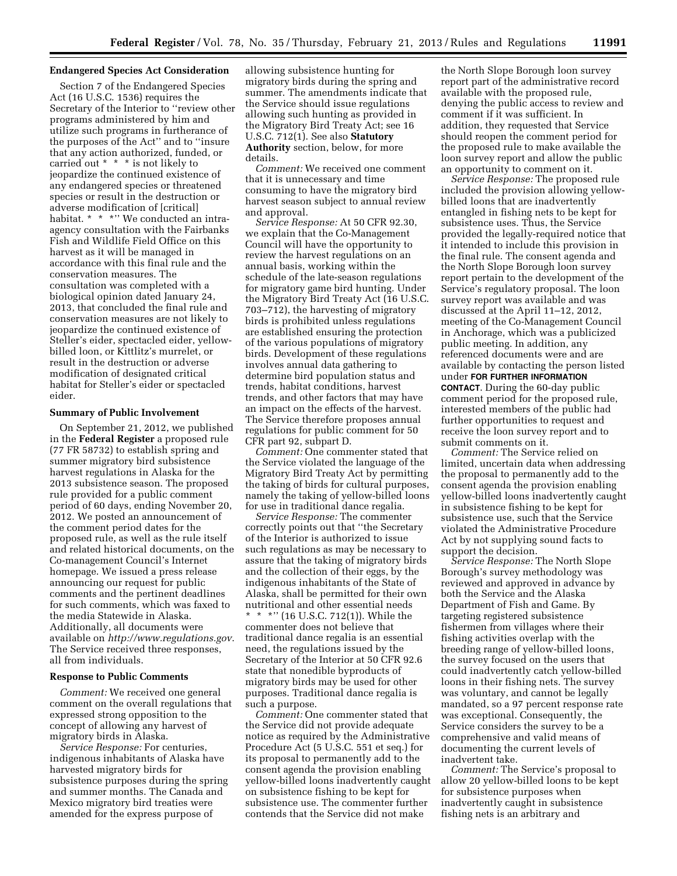## **Endangered Species Act Consideration**

Section 7 of the Endangered Species Act (16 U.S.C. 1536) requires the Secretary of the Interior to ''review other programs administered by him and utilize such programs in furtherance of the purposes of the Act'' and to ''insure that any action authorized, funded, or carried out \* \* \* is not likely to jeopardize the continued existence of any endangered species or threatened species or result in the destruction or adverse modification of [critical] habitat. \* \* \* \* We conducted an intraagency consultation with the Fairbanks Fish and Wildlife Field Office on this harvest as it will be managed in accordance with this final rule and the conservation measures. The consultation was completed with a biological opinion dated January 24, 2013, that concluded the final rule and conservation measures are not likely to jeopardize the continued existence of Steller's eider, spectacled eider, yellowbilled loon, or Kittlitz's murrelet, or result in the destruction or adverse modification of designated critical habitat for Steller's eider or spectacled eider.

# **Summary of Public Involvement**

On September 21, 2012, we published in the **Federal Register** a proposed rule (77 FR 58732) to establish spring and summer migratory bird subsistence harvest regulations in Alaska for the 2013 subsistence season. The proposed rule provided for a public comment period of 60 days, ending November 20, 2012. We posted an announcement of the comment period dates for the proposed rule, as well as the rule itself and related historical documents, on the Co-management Council's Internet homepage. We issued a press release announcing our request for public comments and the pertinent deadlines for such comments, which was faxed to the media Statewide in Alaska. Additionally, all documents were available on *<http://www.regulations.gov>*. The Service received three responses, all from individuals.

### **Response to Public Comments**

*Comment:* We received one general comment on the overall regulations that expressed strong opposition to the concept of allowing any harvest of migratory birds in Alaska.

*Service Response:* For centuries, indigenous inhabitants of Alaska have harvested migratory birds for subsistence purposes during the spring and summer months. The Canada and Mexico migratory bird treaties were amended for the express purpose of

allowing subsistence hunting for migratory birds during the spring and summer. The amendments indicate that the Service should issue regulations allowing such hunting as provided in the Migratory Bird Treaty Act; see 16 U.S.C. 712(1). See also **Statutory Authority** section, below, for more details.

*Comment:* We received one comment that it is unnecessary and time consuming to have the migratory bird harvest season subject to annual review and approval.

*Service Response:* At 50 CFR 92.30, we explain that the Co-Management Council will have the opportunity to review the harvest regulations on an annual basis, working within the schedule of the late-season regulations for migratory game bird hunting. Under the Migratory Bird Treaty Act (16 U.S.C. 703–712), the harvesting of migratory birds is prohibited unless regulations are established ensuring the protection of the various populations of migratory birds. Development of these regulations involves annual data gathering to determine bird population status and trends, habitat conditions, harvest trends, and other factors that may have an impact on the effects of the harvest. The Service therefore proposes annual regulations for public comment for 50 CFR part 92, subpart D.

*Comment:* One commenter stated that the Service violated the language of the Migratory Bird Treaty Act by permitting the taking of birds for cultural purposes, namely the taking of yellow-billed loons for use in traditional dance regalia.

*Service Response:* The commenter correctly points out that ''the Secretary of the Interior is authorized to issue such regulations as may be necessary to assure that the taking of migratory birds and the collection of their eggs, by the indigenous inhabitants of the State of Alaska, shall be permitted for their own nutritional and other essential needs \* \* \*'' (16 U.S.C. 712(1)). While the commenter does not believe that traditional dance regalia is an essential need, the regulations issued by the Secretary of the Interior at 50 CFR 92.6 state that nonedible byproducts of migratory birds may be used for other purposes. Traditional dance regalia is such a purpose.

*Comment:* One commenter stated that the Service did not provide adequate notice as required by the Administrative Procedure Act (5 U.S.C. 551 et seq.) for its proposal to permanently add to the consent agenda the provision enabling yellow-billed loons inadvertently caught on subsistence fishing to be kept for subsistence use. The commenter further contends that the Service did not make

the North Slope Borough loon survey report part of the administrative record available with the proposed rule, denying the public access to review and comment if it was sufficient. In addition, they requested that Service should reopen the comment period for the proposed rule to make available the loon survey report and allow the public an opportunity to comment on it.

*Service Response:* The proposed rule included the provision allowing yellowbilled loons that are inadvertently entangled in fishing nets to be kept for subsistence uses. Thus, the Service provided the legally-required notice that it intended to include this provision in the final rule. The consent agenda and the North Slope Borough loon survey report pertain to the development of the Service's regulatory proposal. The loon survey report was available and was discussed at the April 11–12, 2012, meeting of the Co-Management Council in Anchorage, which was a publicized public meeting. In addition, any referenced documents were and are available by contacting the person listed under **FOR FURTHER INFORMATION CONTACT**. During the 60-day public comment period for the proposed rule, interested members of the public had further opportunities to request and receive the loon survey report and to submit comments on it.

*Comment:* The Service relied on limited, uncertain data when addressing the proposal to permanently add to the consent agenda the provision enabling yellow-billed loons inadvertently caught in subsistence fishing to be kept for subsistence use, such that the Service violated the Administrative Procedure Act by not supplying sound facts to support the decision.

*Service Response:* The North Slope Borough's survey methodology was reviewed and approved in advance by both the Service and the Alaska Department of Fish and Game. By targeting registered subsistence fishermen from villages where their fishing activities overlap with the breeding range of yellow-billed loons, the survey focused on the users that could inadvertently catch yellow-billed loons in their fishing nets. The survey was voluntary, and cannot be legally mandated, so a 97 percent response rate was exceptional. Consequently, the Service considers the survey to be a comprehensive and valid means of documenting the current levels of inadvertent take.

*Comment:* The Service's proposal to allow 20 yellow-billed loons to be kept for subsistence purposes when inadvertently caught in subsistence fishing nets is an arbitrary and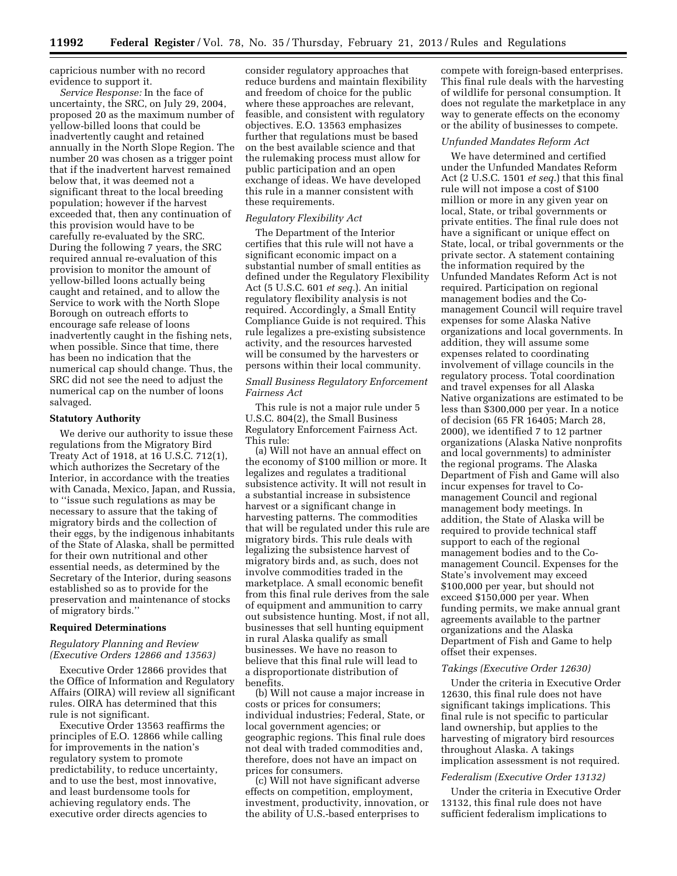capricious number with no record evidence to support it.

*Service Response:* In the face of uncertainty, the SRC, on July 29, 2004, proposed 20 as the maximum number of yellow-billed loons that could be inadvertently caught and retained annually in the North Slope Region. The number 20 was chosen as a trigger point that if the inadvertent harvest remained below that, it was deemed not a significant threat to the local breeding population; however if the harvest exceeded that, then any continuation of this provision would have to be carefully re-evaluated by the SRC. During the following 7 years, the SRC required annual re-evaluation of this provision to monitor the amount of yellow-billed loons actually being caught and retained, and to allow the Service to work with the North Slope Borough on outreach efforts to encourage safe release of loons inadvertently caught in the fishing nets, when possible. Since that time, there has been no indication that the numerical cap should change. Thus, the SRC did not see the need to adjust the numerical cap on the number of loons salvaged.

### **Statutory Authority**

We derive our authority to issue these regulations from the Migratory Bird Treaty Act of 1918, at 16 U.S.C. 712(1), which authorizes the Secretary of the Interior, in accordance with the treaties with Canada, Mexico, Japan, and Russia, to ''issue such regulations as may be necessary to assure that the taking of migratory birds and the collection of their eggs, by the indigenous inhabitants of the State of Alaska, shall be permitted for their own nutritional and other essential needs, as determined by the Secretary of the Interior, during seasons established so as to provide for the preservation and maintenance of stocks of migratory birds.''

## **Required Determinations**

## *Regulatory Planning and Review (Executive Orders 12866 and 13563)*

Executive Order 12866 provides that the Office of Information and Regulatory Affairs (OIRA) will review all significant rules. OIRA has determined that this rule is not significant.

Executive Order 13563 reaffirms the principles of E.O. 12866 while calling for improvements in the nation's regulatory system to promote predictability, to reduce uncertainty, and to use the best, most innovative, and least burdensome tools for achieving regulatory ends. The executive order directs agencies to

consider regulatory approaches that reduce burdens and maintain flexibility and freedom of choice for the public where these approaches are relevant, feasible, and consistent with regulatory objectives. E.O. 13563 emphasizes further that regulations must be based on the best available science and that the rulemaking process must allow for public participation and an open exchange of ideas. We have developed this rule in a manner consistent with these requirements.

### *Regulatory Flexibility Act*

The Department of the Interior certifies that this rule will not have a significant economic impact on a substantial number of small entities as defined under the Regulatory Flexibility Act (5 U.S.C. 601 *et seq.*). An initial regulatory flexibility analysis is not required. Accordingly, a Small Entity Compliance Guide is not required. This rule legalizes a pre-existing subsistence activity, and the resources harvested will be consumed by the harvesters or persons within their local community.

# *Small Business Regulatory Enforcement Fairness Act*

This rule is not a major rule under 5 U.S.C. 804(2), the Small Business Regulatory Enforcement Fairness Act. This rule:

(a) Will not have an annual effect on the economy of \$100 million or more. It legalizes and regulates a traditional subsistence activity. It will not result in a substantial increase in subsistence harvest or a significant change in harvesting patterns. The commodities that will be regulated under this rule are migratory birds. This rule deals with legalizing the subsistence harvest of migratory birds and, as such, does not involve commodities traded in the marketplace. A small economic benefit from this final rule derives from the sale of equipment and ammunition to carry out subsistence hunting. Most, if not all, businesses that sell hunting equipment in rural Alaska qualify as small businesses. We have no reason to believe that this final rule will lead to a disproportionate distribution of benefits.

(b) Will not cause a major increase in costs or prices for consumers; individual industries; Federal, State, or local government agencies; or geographic regions. This final rule does not deal with traded commodities and, therefore, does not have an impact on prices for consumers.

(c) Will not have significant adverse effects on competition, employment, investment, productivity, innovation, or the ability of U.S.-based enterprises to

compete with foreign-based enterprises. This final rule deals with the harvesting of wildlife for personal consumption. It does not regulate the marketplace in any way to generate effects on the economy or the ability of businesses to compete.

#### *Unfunded Mandates Reform Act*

We have determined and certified under the Unfunded Mandates Reform Act (2 U.S.C. 1501 *et seq.*) that this final rule will not impose a cost of \$100 million or more in any given year on local, State, or tribal governments or private entities. The final rule does not have a significant or unique effect on State, local, or tribal governments or the private sector. A statement containing the information required by the Unfunded Mandates Reform Act is not required. Participation on regional management bodies and the Comanagement Council will require travel expenses for some Alaska Native organizations and local governments. In addition, they will assume some expenses related to coordinating involvement of village councils in the regulatory process. Total coordination and travel expenses for all Alaska Native organizations are estimated to be less than \$300,000 per year. In a notice of decision (65 FR 16405; March 28, 2000), we identified 7 to 12 partner organizations (Alaska Native nonprofits and local governments) to administer the regional programs. The Alaska Department of Fish and Game will also incur expenses for travel to Comanagement Council and regional management body meetings. In addition, the State of Alaska will be required to provide technical staff support to each of the regional management bodies and to the Comanagement Council. Expenses for the State's involvement may exceed \$100,000 per year, but should not exceed \$150,000 per year. When funding permits, we make annual grant agreements available to the partner organizations and the Alaska Department of Fish and Game to help offset their expenses.

## *Takings (Executive Order 12630)*

Under the criteria in Executive Order 12630, this final rule does not have significant takings implications. This final rule is not specific to particular land ownership, but applies to the harvesting of migratory bird resources throughout Alaska. A takings implication assessment is not required.

### *Federalism (Executive Order 13132)*

Under the criteria in Executive Order 13132, this final rule does not have sufficient federalism implications to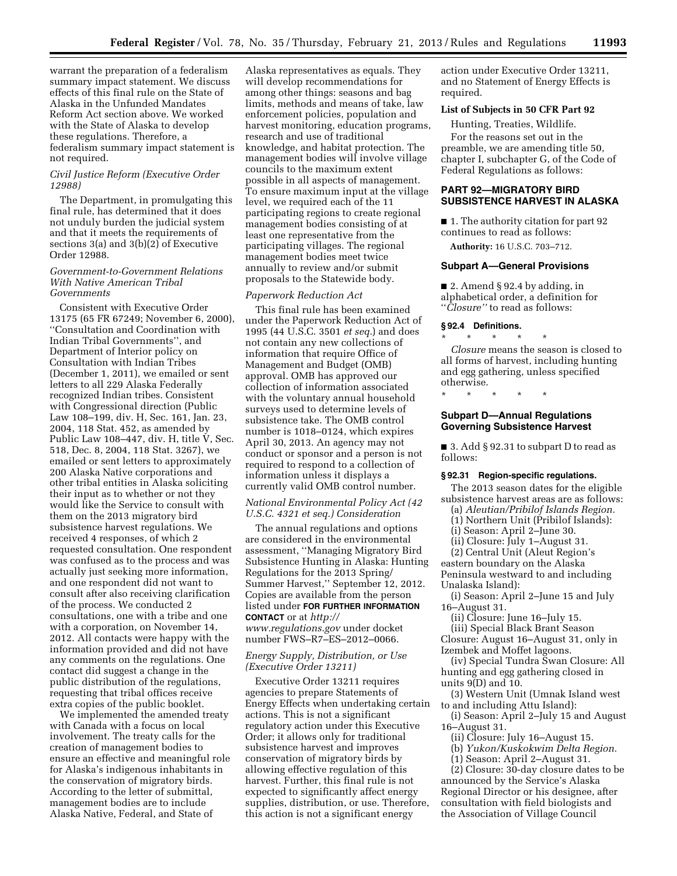warrant the preparation of a federalism summary impact statement. We discuss effects of this final rule on the State of Alaska in the Unfunded Mandates Reform Act section above. We worked with the State of Alaska to develop these regulations. Therefore, a federalism summary impact statement is not required.

## *Civil Justice Reform (Executive Order 12988)*

The Department, in promulgating this final rule, has determined that it does not unduly burden the judicial system and that it meets the requirements of sections 3(a) and 3(b)(2) of Executive Order 12988.

## *Government-to-Government Relations With Native American Tribal Governments*

Consistent with Executive Order 13175 (65 FR 67249; November 6, 2000), ''Consultation and Coordination with Indian Tribal Governments'', and Department of Interior policy on Consultation with Indian Tribes (December 1, 2011), we emailed or sent letters to all 229 Alaska Federally recognized Indian tribes. Consistent with Congressional direction (Public Law 108–199, div. H, Sec. 161, Jan. 23, 2004, 118 Stat. 452, as amended by Public Law 108–447, div. H, title V, Sec. 518, Dec. 8, 2004, 118 Stat. 3267), we emailed or sent letters to approximately 200 Alaska Native corporations and other tribal entities in Alaska soliciting their input as to whether or not they would like the Service to consult with them on the 2013 migratory bird subsistence harvest regulations. We received 4 responses, of which 2 requested consultation. One respondent was confused as to the process and was actually just seeking more information, and one respondent did not want to consult after also receiving clarification of the process. We conducted 2 consultations, one with a tribe and one with a corporation, on November 14, 2012. All contacts were happy with the information provided and did not have any comments on the regulations. One contact did suggest a change in the public distribution of the regulations, requesting that tribal offices receive extra copies of the public booklet.

We implemented the amended treaty with Canada with a focus on local involvement. The treaty calls for the creation of management bodies to ensure an effective and meaningful role for Alaska's indigenous inhabitants in the conservation of migratory birds. According to the letter of submittal, management bodies are to include Alaska Native, Federal, and State of

Alaska representatives as equals. They will develop recommendations for among other things: seasons and bag limits, methods and means of take, law enforcement policies, population and harvest monitoring, education programs, research and use of traditional knowledge, and habitat protection. The management bodies will involve village councils to the maximum extent possible in all aspects of management. To ensure maximum input at the village level, we required each of the 11 participating regions to create regional management bodies consisting of at least one representative from the participating villages. The regional management bodies meet twice annually to review and/or submit proposals to the Statewide body.

# *Paperwork Reduction Act*

This final rule has been examined under the Paperwork Reduction Act of 1995 (44 U.S.C. 3501 *et seq.*) and does not contain any new collections of information that require Office of Management and Budget (OMB) approval. OMB has approved our collection of information associated with the voluntary annual household surveys used to determine levels of subsistence take. The OMB control number is 1018–0124, which expires April 30, 2013. An agency may not conduct or sponsor and a person is not required to respond to a collection of information unless it displays a currently valid OMB control number.

# *National Environmental Policy Act (42 U.S.C. 4321 et seq.) Consideration*

The annual regulations and options are considered in the environmental assessment, ''Managing Migratory Bird Subsistence Hunting in Alaska: Hunting Regulations for the 2013 Spring/ Summer Harvest,'' September 12, 2012. Copies are available from the person listed under **FOR FURTHER INFORMATION CONTACT** or at *[http://](http://www.regulations.gov) [www.regulations.gov](http://www.regulations.gov)* under docket number FWS–R7–ES–2012–0066.

# *Energy Supply, Distribution, or Use (Executive Order 13211)*

Executive Order 13211 requires agencies to prepare Statements of Energy Effects when undertaking certain actions. This is not a significant regulatory action under this Executive Order; it allows only for traditional subsistence harvest and improves conservation of migratory birds by allowing effective regulation of this harvest. Further, this final rule is not expected to significantly affect energy supplies, distribution, or use. Therefore, this action is not a significant energy

action under Executive Order 13211, and no Statement of Energy Effects is required.

## **List of Subjects in 50 CFR Part 92**

Hunting, Treaties, Wildlife.

For the reasons set out in the preamble, we are amending title 50, chapter I, subchapter G, of the Code of Federal Regulations as follows:

# **PART 92—MIGRATORY BIRD SUBSISTENCE HARVEST IN ALASKA**

■ 1. The authority citation for part 92 continues to read as follows:

**Authority:** 16 U.S.C. 703–712.

### **Subpart A—General Provisions**

■ 2. Amend § 92.4 by adding, in alphabetical order, a definition for ''*Closure''* to read as follows:

### **§ 92.4 Definitions.**

\* \* \* \* \* *Closure* means the season is closed to all forms of harvest, including hunting and egg gathering, unless specified otherwise.

\* \* \* \* \*

## **Subpart D—Annual Regulations Governing Subsistence Harvest**

■ 3. Add § 92.31 to subpart D to read as follows:

## **§ 92.31 Region-specific regulations.**

The 2013 season dates for the eligible subsistence harvest areas are as follows:

(a) *Aleutian/Pribilof Islands Region.* 

- (1) Northern Unit (Pribilof Islands):
- (i) Season: April 2–June 30.
- (ii) Closure: July 1–August 31.

(2) Central Unit (Aleut Region's eastern boundary on the Alaska Peninsula westward to and including Unalaska Island):

(i) Season: April 2–June 15 and July 16–August 31.

(ii) Closure: June 16–July 15. (iii) Special Black Brant Season Closure: August 16–August 31, only in

Izembek and Moffet lagoons. (iv) Special Tundra Swan Closure: All

hunting and egg gathering closed in units 9(D) and 10.

(3) Western Unit (Umnak Island west to and including Attu Island):

(i) Season: April 2–July 15 and August 16–August 31.

(ii) Closure: July 16–August 15.

(b) *Yukon/Kuskokwim Delta Region.* 

(1) Season: April 2–August 31.

(2) Closure: 30-day closure dates to be announced by the Service's Alaska Regional Director or his designee, after consultation with field biologists and the Association of Village Council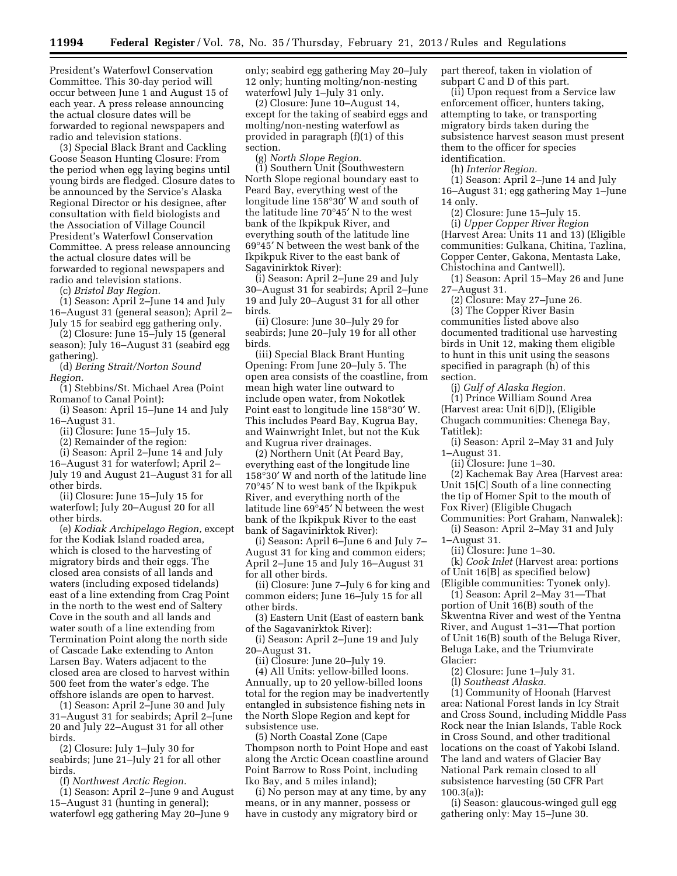President's Waterfowl Conservation Committee. This 30-day period will occur between June 1 and August 15 of each year. A press release announcing the actual closure dates will be forwarded to regional newspapers and radio and television stations.

(3) Special Black Brant and Cackling Goose Season Hunting Closure: From the period when egg laying begins until young birds are fledged. Closure dates to be announced by the Service's Alaska Regional Director or his designee, after consultation with field biologists and the Association of Village Council President's Waterfowl Conservation Committee. A press release announcing the actual closure dates will be forwarded to regional newspapers and radio and television stations.

(c) *Bristol Bay Region.* 

(1) Season: April 2–June 14 and July 16–August 31 (general season); April 2– July 15 for seabird egg gathering only.

(2) Closure: June 15–July 15 (general season); July 16–August 31 (seabird egg gathering).

(d) *Bering Strait/Norton Sound Region.* 

(1) Stebbins/St. Michael Area (Point Romanof to Canal Point):

(i) Season: April 15–June 14 and July 16–August 31.

(ii) Closure: June 15–July 15.

(2) Remainder of the region:

(i) Season: April 2–June 14 and July 16–August 31 for waterfowl; April 2– July 19 and August 21–August 31 for all other birds.

(ii) Closure: June 15–July 15 for waterfowl; July 20–August 20 for all other birds.

(e) *Kodiak Archipelago Region,* except for the Kodiak Island roaded area, which is closed to the harvesting of migratory birds and their eggs. The closed area consists of all lands and waters (including exposed tidelands) east of a line extending from Crag Point in the north to the west end of Saltery Cove in the south and all lands and water south of a line extending from Termination Point along the north side of Cascade Lake extending to Anton Larsen Bay. Waters adjacent to the closed area are closed to harvest within 500 feet from the water's edge. The offshore islands are open to harvest.

(1) Season: April 2–June 30 and July 31–August 31 for seabirds; April 2–June 20 and July 22–August 31 for all other birds.

(2) Closure: July 1–July 30 for seabirds; June 21–July 21 for all other birds.

(f) *Northwest Arctic Region.* 

(1) Season: April 2–June 9 and August 15–August 31 (hunting in general); waterfowl egg gathering May 20–June 9

only; seabird egg gathering May 20–July 12 only; hunting molting/non-nesting waterfowl July 1–July 31 only.

(2) Closure: June 10–August 14, except for the taking of seabird eggs and molting/non-nesting waterfowl as provided in paragraph (f)(1) of this section.

(g) *North Slope Region.* 

(1) Southern Unit (Southwestern North Slope regional boundary east to Peard Bay, everything west of the longitude line 158°30′ W and south of the latitude line 70°45′ N to the west bank of the Ikpikpuk River, and everything south of the latitude line 69°45′ N between the west bank of the Ikpikpuk River to the east bank of Sagavinirktok River):

(i) Season: April 2–June 29 and July 30–August 31 for seabirds; April 2–June 19 and July 20–August 31 for all other birds.

(ii) Closure: June 30–July 29 for seabirds; June 20–July 19 for all other birds.

(iii) Special Black Brant Hunting Opening: From June 20–July 5. The open area consists of the coastline, from mean high water line outward to include open water, from Nokotlek Point east to longitude line 158°30′ W. This includes Peard Bay, Kugrua Bay, and Wainwright Inlet, but not the Kuk and Kugrua river drainages.

(2) Northern Unit (At Peard Bay, everything east of the longitude line 158°30′ W and north of the latitude line 70°45′ N to west bank of the Ikpikpuk River, and everything north of the latitude line 69°45′ N between the west bank of the Ikpikpuk River to the east bank of Sagavinirktok River):

(i) Season: April 6–June 6 and July 7– August 31 for king and common eiders; April 2–June 15 and July 16–August 31 for all other birds.

(ii) Closure: June 7–July 6 for king and common eiders; June 16–July 15 for all other birds.

(3) Eastern Unit (East of eastern bank of the Sagavanirktok River):

(i) Season: April 2–June 19 and July 20–August 31.

(ii) Closure: June 20–July 19.

(4) All Units: yellow-billed loons. Annually, up to 20 yellow-billed loons total for the region may be inadvertently entangled in subsistence fishing nets in the North Slope Region and kept for subsistence use.

(5) North Coastal Zone (Cape Thompson north to Point Hope and east along the Arctic Ocean coastline around Point Barrow to Ross Point, including Iko Bay, and 5 miles inland);

(i) No person may at any time, by any means, or in any manner, possess or have in custody any migratory bird or

part thereof, taken in violation of subpart C and D of this part.

(ii) Upon request from a Service law enforcement officer, hunters taking, attempting to take, or transporting migratory birds taken during the subsistence harvest season must present them to the officer for species identification.

(h) *Interior Region.* 

(1) Season: April 2–June 14 and July 16–August 31; egg gathering May 1–June 14 only.

(2) Closure: June 15–July 15. (i) *Upper Copper River Region*  (Harvest Area: Units 11 and 13) (Eligible communities: Gulkana, Chitina, Tazlina, Copper Center, Gakona, Mentasta Lake, Chistochina and Cantwell).

(1) Season: April 15–May 26 and June 27–August 31.

(2) Closure: May 27–June 26. (3) The Copper River Basin communities listed above also documented traditional use harvesting birds in Unit 12, making them eligible to hunt in this unit using the seasons specified in paragraph (h) of this section.

(j) *Gulf of Alaska Region.*  (1) Prince William Sound Area (Harvest area: Unit 6[D]), (Eligible Chugach communities: Chenega Bay, Tatitlek):

(i) Season: April 2–May 31 and July 1–August 31.

(ii) Closure: June 1–30.

(2) Kachemak Bay Area (Harvest area: Unit 15[C] South of a line connecting the tip of Homer Spit to the mouth of Fox River) (Eligible Chugach Communities: Port Graham, Nanwalek):

(i) Season: April 2–May 31 and July 1–August 31.

(ii) Closure: June 1–30.

(k) *Cook Inlet* (Harvest area: portions of Unit 16[B] as specified below) (Eligible communities: Tyonek only).

(1) Season: April 2–May 31—That portion of Unit 16(B) south of the Skwentna River and west of the Yentna River, and August 1–31—That portion of Unit 16(B) south of the Beluga River, Beluga Lake, and the Triumvirate Glacier:

(2) Closure: June 1–July 31.

(l) *Southeast Alaska.* 

(1) Community of Hoonah (Harvest area: National Forest lands in Icy Strait and Cross Sound, including Middle Pass Rock near the Inian Islands, Table Rock in Cross Sound, and other traditional locations on the coast of Yakobi Island. The land and waters of Glacier Bay National Park remain closed to all subsistence harvesting (50 CFR Part 100.3(a)):

(i) Season: glaucous-winged gull egg gathering only: May 15–June 30.